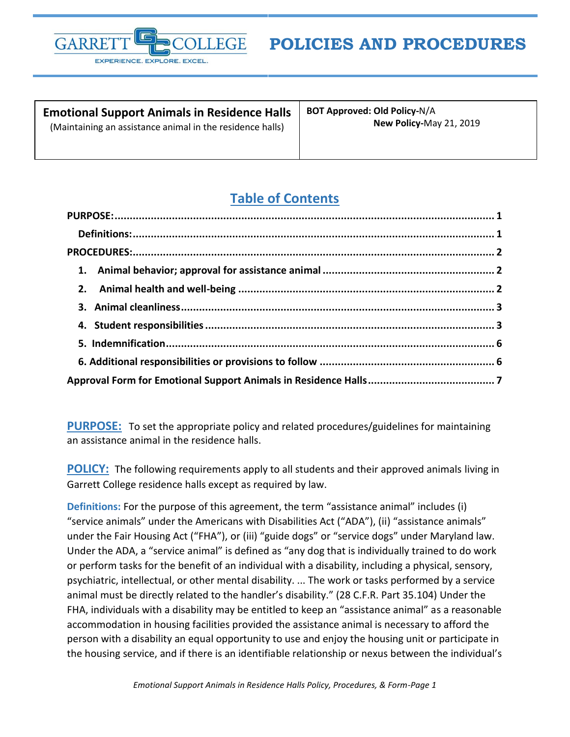

# **POLICIES AND PROCEDURES**

| <b>Emotional Support Animals in Residence Halls</b>       |  |  |  |
|-----------------------------------------------------------|--|--|--|
| (Maintaining an assistance animal in the residence halls) |  |  |  |

**BOT Approved: Old Policy-**N/A **New Policy-**May 21, 2019

## **Table of Contents**

<span id="page-0-0"></span>**PURPOSE:** To set the appropriate policy and related procedures/guidelines for maintaining an assistance animal in the residence halls.

**POLICY:** The following requirements apply to all students and their approved animals living in Garrett College residence halls except as required by law.

<span id="page-0-1"></span>**Definitions:** For the purpose of this agreement, the term "assistance animal" includes (i) "service animals" under the Americans with Disabilities Act ("ADA"), (ii) "assistance animals" under the Fair Housing Act ("FHA"), or (iii) "guide dogs" or "service dogs" under Maryland law. Under the ADA, a "service animal" is defined as "any dog that is individually trained to do work or perform tasks for the benefit of an individual with a disability, including a physical, sensory, psychiatric, intellectual, or other mental disability. ... The work or tasks performed by a service animal must be directly related to the handler's disability." (28 C.F.R. Part 35.104) Under the FHA, individuals with a disability may be entitled to keep an "assistance animal" as a reasonable accommodation in housing facilities provided the assistance animal is necessary to afford the person with a disability an equal opportunity to use and enjoy the housing unit or participate in the housing service, and if there is an identifiable relationship or nexus between the individual's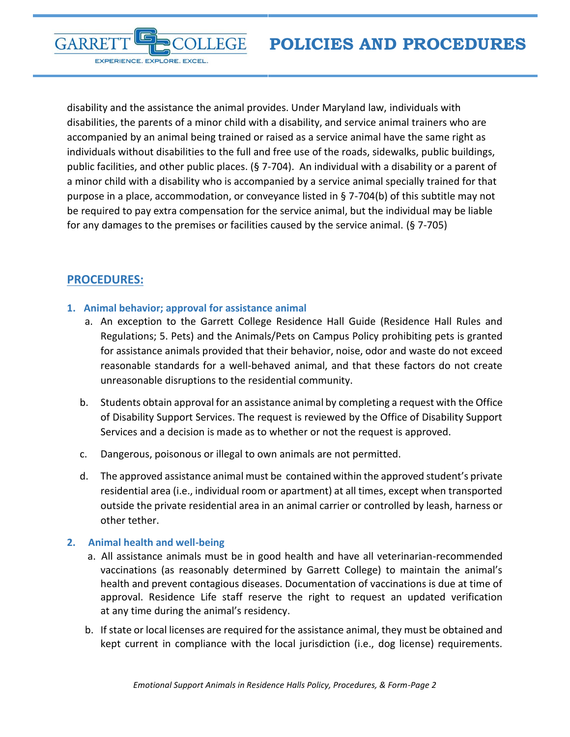disability and the assistance the animal provides. Under Maryland law, individuals with disabilities, the parents of a minor child with a disability, and service animal trainers who are accompanied by an animal being trained or raised as a service animal have the same right as individuals without disabilities to the full and free use of the roads, sidewalks, public buildings, public facilities, and other public places. (§ 7-704). An individual with a disability or a parent of a minor child with a disability who is accompanied by a service animal specially trained for that purpose in a place, accommodation, or conveyance listed in § 7-704(b) of this subtitle may not be required to pay extra compensation for the service animal, but the individual may be liable for any damages to the premises or facilities caused by the service animal. (§ 7-705)

### <span id="page-1-0"></span>**PROCEDURES:**

GARRE

EXPERIENCE. EXPLORE. EXCEL.

#### <span id="page-1-1"></span>**1. Animal behavior; approval for assistance animal**

- a. An exception to the Garrett College Residence Hall Guide (Residence Hall Rules and Regulations; 5. Pets) and the Animals/Pets on Campus Policy prohibiting pets is granted for assistance animals provided that their behavior, noise, odor and waste do not exceed reasonable standards for a well-behaved animal, and that these factors do not create unreasonable disruptions to the residential community.
- b. Students obtain approval for an assistance animal by completing a request with the Office of Disability Support Services. The request is reviewed by the Office of Disability Support Services and a decision is made as to whether or not the request is approved.
- c. Dangerous, poisonous or illegal to own animals are not permitted.
- d. The approved assistance animal must be contained within the approved student's private residential area (i.e., individual room or apartment) at all times, except when transported outside the private residential area in an animal carrier or controlled by leash, harness or other tether.

#### <span id="page-1-2"></span>**2. Animal health and well-being**

- a. All assistance animals must be in good health and have all veterinarian-recommended vaccinations (as reasonably determined by Garrett College) to maintain the animal's health and prevent contagious diseases. Documentation of vaccinations is due at time of approval. Residence Life staff reserve the right to request an updated verification at any time during the animal's residency.
- b. If state or local licenses are required for the assistance animal, they must be obtained and kept current in compliance with the local jurisdiction (i.e., dog license) requirements.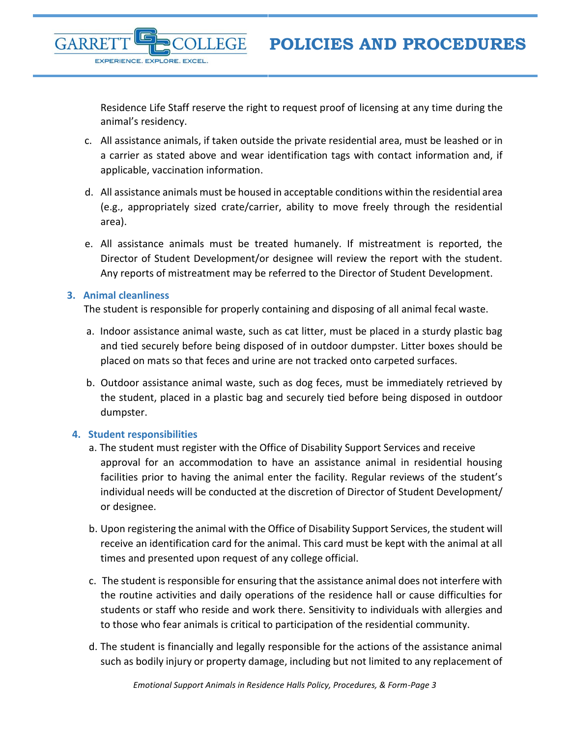Residence Life Staff reserve the right to request proof of licensing at any time during the animal's residency.

**LEGE** 

- c. All assistance animals, if taken outside the private residential area, must be leashed or in a carrier as stated above and wear identification tags with contact information and, if applicable, vaccination information.
- d. All assistance animals must be housed in acceptable conditions within the residential area (e.g., appropriately sized crate/carrier, ability to move freely through the residential area).
- e. All assistance animals must be treated humanely. If mistreatment is reported, the Director of Student Development/or designee will review the report with the student. Any reports of mistreatment may be referred to the Director of Student Development.

#### <span id="page-2-0"></span>**3. Animal cleanliness**

**GARRE** 

EXPERIENCE. EXPLORE. EXCEL.

The student is responsible for properly containing and disposing of all animal fecal waste.

- a. Indoor assistance animal waste, such as cat litter, must be placed in a sturdy plastic bag and tied securely before being disposed of in outdoor dumpster. Litter boxes should be placed on mats so that feces and urine are not tracked onto carpeted surfaces.
- b. Outdoor assistance animal waste, such as dog feces, must be immediately retrieved by the student, placed in a plastic bag and securely tied before being disposed in outdoor dumpster.

#### <span id="page-2-1"></span> **4. Student responsibilities**

- a. The student must register with the Office of Disability Support Services and receive approval for an accommodation to have an assistance animal in residential housing facilities prior to having the animal enter the facility. Regular reviews of the student's individual needs will be conducted at the discretion of Director of Student Development/ or designee.
- b. Upon registering the animal with the Office of Disability Support Services, the student will receive an identification card for the animal. This card must be kept with the animal at all times and presented upon request of any college official.
- c. The student is responsible for ensuring that the assistance animal does not interfere with the routine activities and daily operations of the residence hall or cause difficulties for students or staff who reside and work there. Sensitivity to individuals with allergies and to those who fear animals is critical to participation of the residential community.
- d. The student is financially and legally responsible for the actions of the assistance animal such as bodily injury or property damage, including but not limited to any replacement of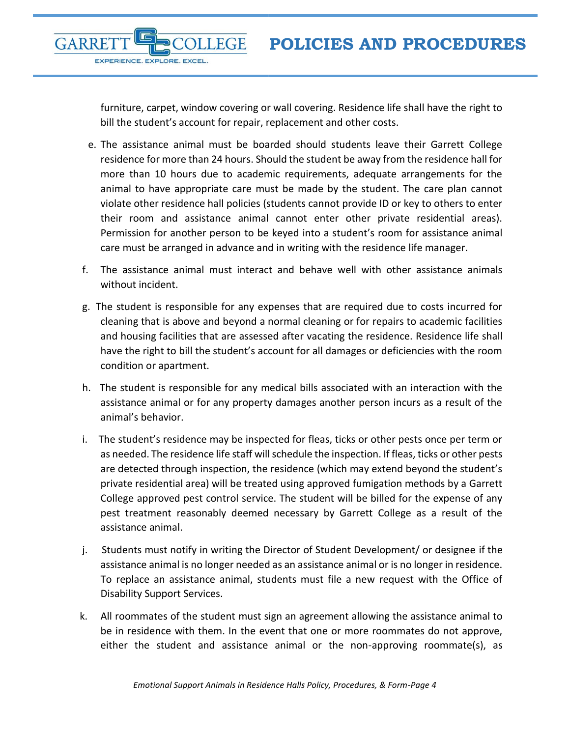furniture, carpet, window covering or wall covering. Residence life shall have the right to bill the student's account for repair, replacement and other costs.

GARRE

EXPERIENCE. EXPLORE. EXCEL.

- e. The assistance animal must be boarded should students leave their Garrett College residence for more than 24 hours. Should the student be away from the residence hall for more than 10 hours due to academic requirements, adequate arrangements for the animal to have appropriate care must be made by the student. The care plan cannot violate other residence hall policies (students cannot provide ID or key to others to enter their room and assistance animal cannot enter other private residential areas). Permission for another person to be keyed into a student's room for assistance animal care must be arranged in advance and in writing with the residence life manager.
- f. The assistance animal must interact and behave well with other assistance animals without incident.
- g. The student is responsible for any expenses that are required due to costs incurred for cleaning that is above and beyond a normal cleaning or for repairs to academic facilities and housing facilities that are assessed after vacating the residence. Residence life shall have the right to bill the student's account for all damages or deficiencies with the room condition or apartment.
- h. The student is responsible for any medical bills associated with an interaction with the assistance animal or for any property damages another person incurs as a result of the animal's behavior.
- i. The student's residence may be inspected for fleas, ticks or other pests once per term or as needed. The residence life staff will schedule the inspection. If fleas, ticks or other pests are detected through inspection, the residence (which may extend beyond the student's private residential area) will be treated using approved fumigation methods by a Garrett College approved pest control service. The student will be billed for the expense of any pest treatment reasonably deemed necessary by Garrett College as a result of the assistance animal.
- j. Students must notify in writing the Director of Student Development/ or designee if the assistance animal is no longer needed as an assistance animal or is no longer in residence. To replace an assistance animal, students must file a new request with the Office of Disability Support Services.
- k. All roommates of the student must sign an agreement allowing the assistance animal to be in residence with them. In the event that one or more roommates do not approve, either the student and assistance animal or the non-approving roommate(s), as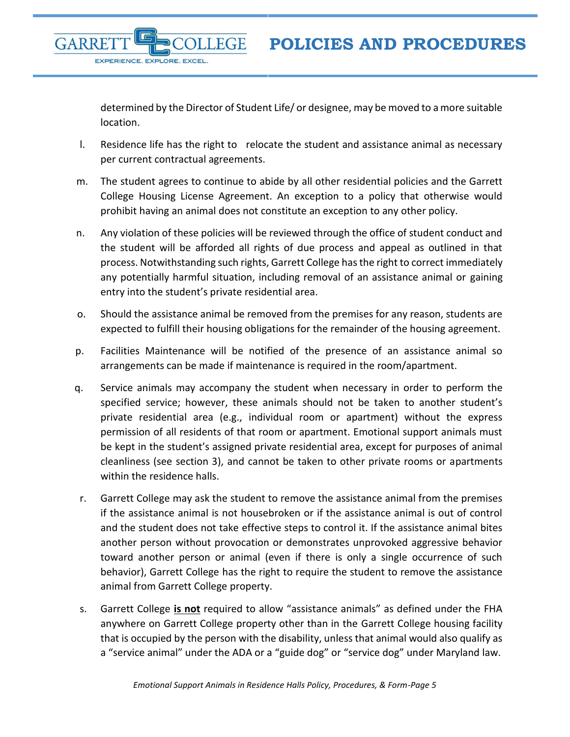determined by the Director of Student Life/ or designee, may be moved to a more suitable location.

 l. Residence life has the right to relocate the student and assistance animal as necessary per current contractual agreements.

**FGF** 

**GARRE** 

EXPERIENCE. EXPLORE. EXCEL.

- m. The student agrees to continue to abide by all other residential policies and the Garrett College Housing License Agreement. An exception to a policy that otherwise would prohibit having an animal does not constitute an exception to any other policy.
- n. Any violation of these policies will be reviewed through the office of student conduct and the student will be afforded all rights of due process and appeal as outlined in that process. Notwithstanding such rights, Garrett College has the right to correct immediately any potentially harmful situation, including removal of an assistance animal or gaining entry into the student's private residential area.
- o. Should the assistance animal be removed from the premises for any reason, students are expected to fulfill their housing obligations for the remainder of the housing agreement.
- p. Facilities Maintenance will be notified of the presence of an assistance animal so arrangements can be made if maintenance is required in the room/apartment.
- q. Service animals may accompany the student when necessary in order to perform the specified service; however, these animals should not be taken to another student's private residential area (e.g., individual room or apartment) without the express permission of all residents of that room or apartment. Emotional support animals must be kept in the student's assigned private residential area, except for purposes of animal cleanliness (see section 3), and cannot be taken to other private rooms or apartments within the residence halls.
- r. Garrett College may ask the student to remove the assistance animal from the premises if the assistance animal is not housebroken or if the assistance animal is out of control and the student does not take effective steps to control it. If the assistance animal bites another person without provocation or demonstrates unprovoked aggressive behavior toward another person or animal (even if there is only a single occurrence of such behavior), Garrett College has the right to require the student to remove the assistance animal from Garrett College property.
- s. Garrett College **is not** required to allow "assistance animals" as defined under the FHA anywhere on Garrett College property other than in the Garrett College housing facility that is occupied by the person with the disability, unless that animal would also qualify as a "service animal" under the ADA or a "guide dog" or "service dog" under Maryland law.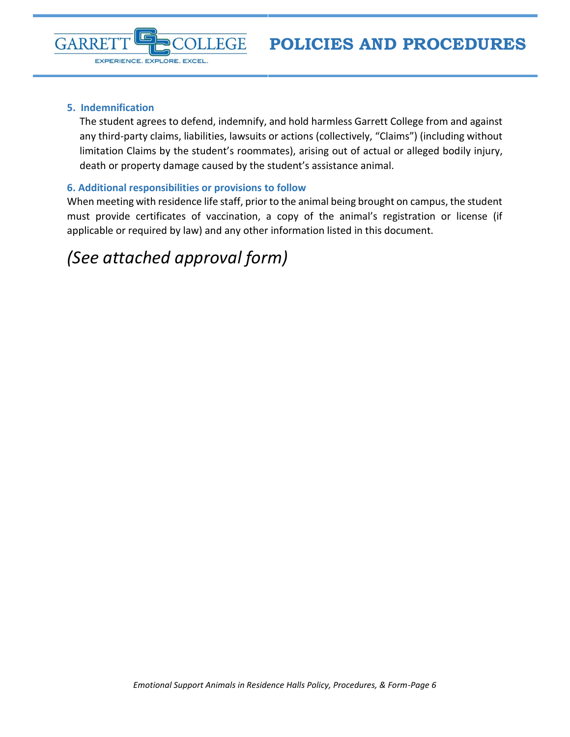

#### <span id="page-5-0"></span>**5. Indemnification**

EXPERIENCE. EXPLORE. EXCEL.

**GARRE** 

The student agrees to defend, indemnify, and hold harmless Garrett College from and against any third-party claims, liabilities, lawsuits or actions (collectively, "Claims") (including without limitation Claims by the student's roommates), arising out of actual or alleged bodily injury, death or property damage caused by the student's assistance animal.

#### <span id="page-5-1"></span>**6. Additional responsibilities or provisions to follow**

**EGE** 

When meeting with residence life staff, prior to the animal being brought on campus, the student must provide certificates of vaccination, a copy of the animal's registration or license (if applicable or required by law) and any other information listed in this document.

# *(See attached approval form)*